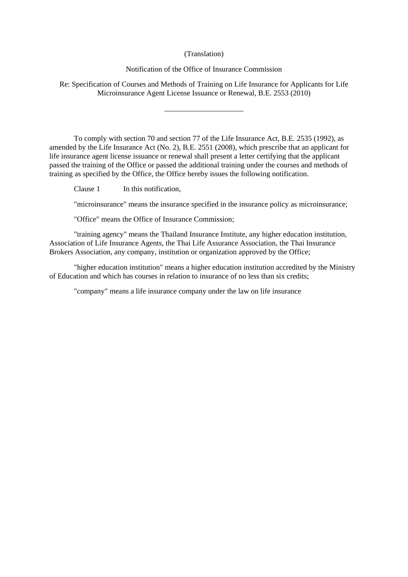## (Translation)

## Notification of the Office of Insurance Commission

Re: Specification of Courses and Methods of Training on Life Insurance for Applicants for Life Microinsurance Agent License Issuance or Renewal, B.E. 2553 (2010)

\_\_\_\_\_\_\_\_\_\_\_\_\_\_\_\_\_\_\_\_\_

To comply with section 70 and section 77 of the Life Insurance Act, B.E. 2535 (1992), as amended by the Life Insurance Act (No. 2), B.E. 2551 (2008), which prescribe that an applicant for life insurance agent license issuance or renewal shall present a letter certifying that the applicant passed the training of the Office or passed the additional training under the courses and methods of training as specified by the Office, the Office hereby issues the following notification.

Clause 1 In this notification,

"microinsurance" means the insurance specified in the insurance policy as microinsurance;

"Office" means the Office of Insurance Commission;

"training agency" means the Thailand Insurance Institute, any higher education institution, Association of Life Insurance Agents, the Thai Life Assurance Association, the Thai Insurance Brokers Association, any company, institution or organization approved by the Office;

"higher education institution" means a higher education institution accredited by the Ministry of Education and which has courses in relation to insurance of no less than six credits;

"company" means a life insurance company under the law on life insurance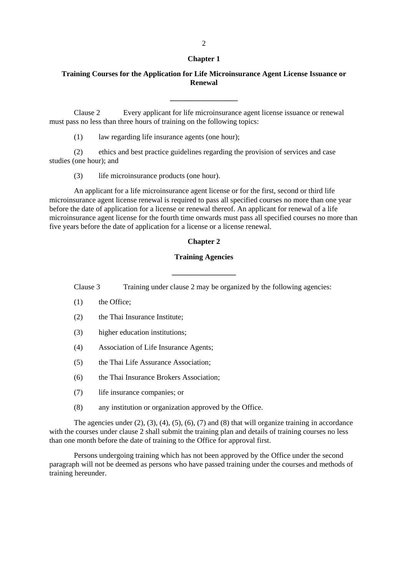#### **Chapter 1**

# **Training Courses for the Application for Life Microinsurance Agent License Issuance or Renewal**

**\_\_\_\_\_\_\_\_\_\_\_\_\_\_\_\_\_\_**

Clause 2 Every applicant for life microinsurance agent license issuance or renewal must pass no less than three hours of training on the following topics:

(1) law regarding life insurance agents (one hour);

(2) ethics and best practice guidelines regarding the provision of services and case studies (one hour); and

(3) life microinsurance products (one hour).

An applicant for a life microinsurance agent license or for the first, second or third life microinsurance agent license renewal is required to pass all specified courses no more than one year before the date of application for a license or renewal thereof. An applicant for renewal of a life microinsurance agent license for the fourth time onwards must pass all specified courses no more than five years before the date of application for a license or a license renewal.

#### **Chapter 2**

#### **Training Agencies**

Clause 3 Training under clause 2 may be organized by the following agencies:

**\_\_\_\_\_\_\_\_\_\_\_\_\_\_\_\_\_**

- (1) the Office;
- (2) the Thai Insurance Institute;
- (3) higher education institutions;
- (4) Association of Life Insurance Agents;
- (5) the Thai Life Assurance Association;
- (6) the Thai Insurance Brokers Association;
- (7) life insurance companies; or
- (8) any institution or organization approved by the Office.

The agencies under  $(2)$ ,  $(3)$ ,  $(4)$ ,  $(5)$ ,  $(6)$ ,  $(7)$  and  $(8)$  that will organize training in accordance with the courses under clause 2 shall submit the training plan and details of training courses no less than one month before the date of training to the Office for approval first.

Persons undergoing training which has not been approved by the Office under the second paragraph will not be deemed as persons who have passed training under the courses and methods of training hereunder.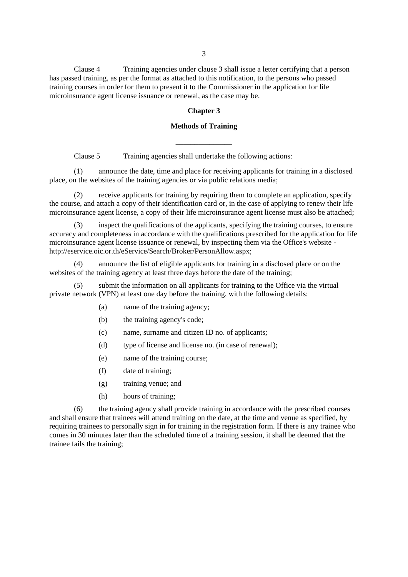Clause 4 Training agencies under clause 3 shall issue a letter certifying that a person has passed training, as per the format as attached to this notification, to the persons who passed training courses in order for them to present it to the Commissioner in the application for life microinsurance agent license issuance or renewal, as the case may be.

### **Chapter 3**

# **Methods of Training**

**\_\_\_\_\_\_\_\_\_\_\_\_\_\_\_**

Clause 5 Training agencies shall undertake the following actions:

(1) announce the date, time and place for receiving applicants for training in a disclosed place, on the websites of the training agencies or via public relations media;

receive applicants for training by requiring them to complete an application, specify the course, and attach a copy of their identification card or, in the case of applying to renew their life microinsurance agent license, a copy of their life microinsurance agent license must also be attached;

(3) inspect the qualifications of the applicants, specifying the training courses, to ensure accuracy and completeness in accordance with the qualifications prescribed for the application for life microinsurance agent license issuance or renewal, by inspecting them via the Office's website http://eservice.oic.or.th/eService/Search/Broker/PersonAllow.aspx;

(4) announce the list of eligible applicants for training in a disclosed place or on the websites of the training agency at least three days before the date of the training;

(5) submit the information on all applicants for training to the Office via the virtual private network (VPN) at least one day before the training, with the following details:

- (a) name of the training agency;
- (b) the training agency's code;
- (c) name, surname and citizen ID no. of applicants;
- (d) type of license and license no. (in case of renewal);
- (e) name of the training course;
- (f) date of training;
- (g) training venue; and
- (h) hours of training;

(6) the training agency shall provide training in accordance with the prescribed courses and shall ensure that trainees will attend training on the date, at the time and venue as specified, by requiring trainees to personally sign in for training in the registration form. If there is any trainee who comes in 30 minutes later than the scheduled time of a training session, it shall be deemed that the trainee fails the training;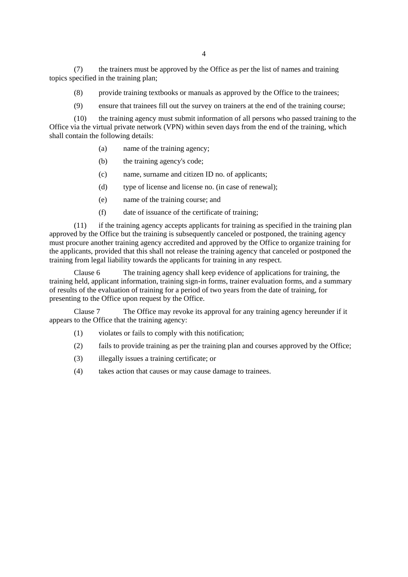(7) the trainers must be approved by the Office as per the list of names and training topics specified in the training plan;

- (8) provide training textbooks or manuals as approved by the Office to the trainees;
- (9) ensure that trainees fill out the survey on trainers at the end of the training course;

(10) the training agency must submit information of all persons who passed training to the Office via the virtual private network (VPN) within seven days from the end of the training, which shall contain the following details:

- (a) name of the training agency;
- (b) the training agency's code;
- (c) name, surname and citizen ID no. of applicants;
- (d) type of license and license no. (in case of renewal);
- (e) name of the training course; and
- (f) date of issuance of the certificate of training;

(11) if the training agency accepts applicants for training as specified in the training plan approved by the Office but the training is subsequently canceled or postponed, the training agency must procure another training agency accredited and approved by the Office to organize training for the applicants, provided that this shall not release the training agency that canceled or postponed the training from legal liability towards the applicants for training in any respect.

Clause 6 The training agency shall keep evidence of applications for training, the training held, applicant information, training sign-in forms, trainer evaluation forms, and a summary of results of the evaluation of training for a period of two years from the date of training, for presenting to the Office upon request by the Office.

Clause 7 The Office may revoke its approval for any training agency hereunder if it appears to the Office that the training agency:

- (1) violates or fails to comply with this notification;
- (2) fails to provide training as per the training plan and courses approved by the Office;
- (3) illegally issues a training certificate; or
- (4) takes action that causes or may cause damage to trainees.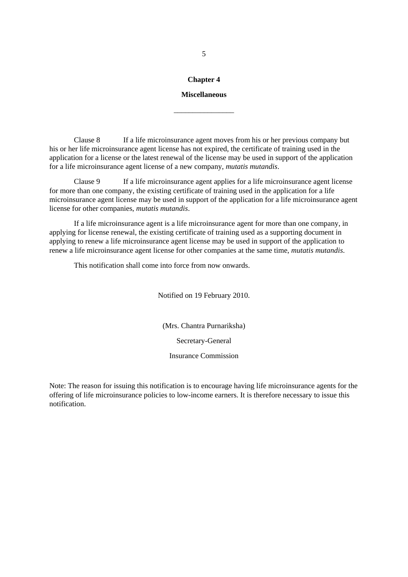# **Chapter 4**

#### **Miscellaneous**

\_\_\_\_\_\_\_\_\_\_\_\_\_\_\_\_

Clause 8 If a life microinsurance agent moves from his or her previous company but his or her life microinsurance agent license has not expired, the certificate of training used in the application for a license or the latest renewal of the license may be used in support of the application for a life microinsurance agent license of a new company, *mutatis mutandis*.

Clause 9 If a life microinsurance agent applies for a life microinsurance agent license for more than one company, the existing certificate of training used in the application for a life microinsurance agent license may be used in support of the application for a life microinsurance agent license for other companies, *mutatis mutandis*.

If a life microinsurance agent is a life microinsurance agent for more than one company, in applying for license renewal, the existing certificate of training used as a supporting document in applying to renew a life microinsurance agent license may be used in support of the application to renew a life microinsurance agent license for other companies at the same time, *mutatis mutandis*.

This notification shall come into force from now onwards.

Notified on 19 February 2010.

(Mrs. Chantra Purnariksha)

Secretary-General

Insurance Commission

Note: The reason for issuing this notification is to encourage having life microinsurance agents for the offering of life microinsurance policies to low-income earners. It is therefore necessary to issue this notification.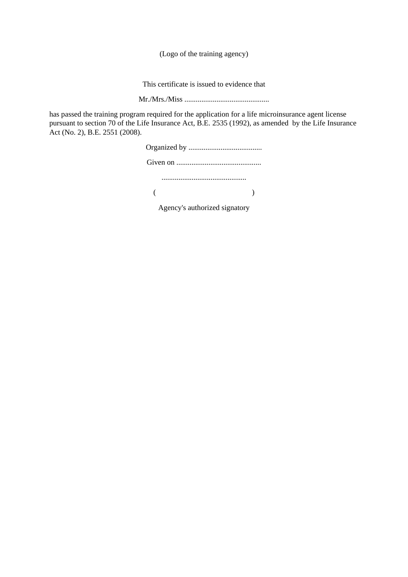(Logo of the training agency)

This certificate is issued to evidence that

Mr./Mrs./Miss .............................................

has passed the training program required for the application for a life microinsurance agent license pursuant to section 70 of the Life Insurance Act, B.E. 2535 (1992), as amended by the Life Insurance Act (No. 2), B.E. 2551 (2008).

| Agency's authorized signatory |  |
|-------------------------------|--|